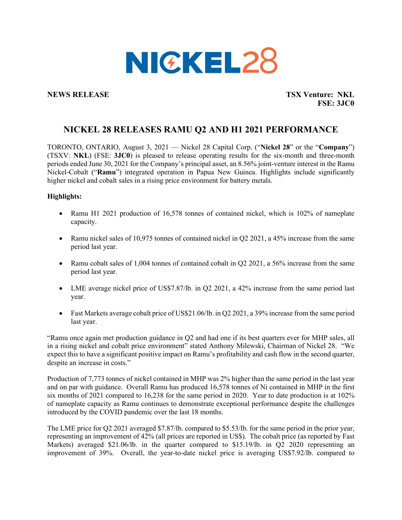

**NEWS RELEASE TSX Venture: NKL FSE: 3JC0** 

# **NICKEL 28 RELEASES RAMU Q2 AND H1 2021 PERFORMANCE**

TORONTO, ONTARIO, August 3, 2021 — Nickel 28 Capital Corp. ("**Nickel 28**" or the "**Company**") (TSXV: **NKL**) (FSE: **3JC0**) is pleased to release operating results for the six-month and three-month periods ended June 30, 2021 for the Company's principal asset, an 8.56% joint-venture interest in the Ramu Nickel-Cobalt ("**Ramu**") integrated operation in Papua New Guinea. Highlights include significantly higher nickel and cobalt sales in a rising price environment for battery metals.

### **Highlights:**

- Ramu H1 2021 production of 16,578 tonnes of contained nickel, which is 102% of nameplate capacity.
- Ramu nickel sales of 10,975 tonnes of contained nickel in Q2 2021, a 45% increase from the same period last year.
- Ramu cobalt sales of 1,004 tonnes of contained cobalt in O2 2021, a 56% increase from the same period last year.
- LME average nickel price of US\$7.87/lb. in Q2 2021, a 42% increase from the same period last year.
- Fast Markets average cobalt price of US\$21.06/lb. in Q2 2021, a 39% increase from the same period last year.

"Ramu once again met production guidance in Q2 and had one if its best quarters ever for MHP sales, all in a rising nickel and cobalt price environment" stated Anthony Milewski, Chairman of Nickel 28. "We expect this to have a significant positive impact on Ramu's profitability and cash flow in the second quarter, despite an increase in costs."

Production of 7,773 tonnes of nickel contained in MHP was 2% higher than the same period in the last year and on par with guidance. Overall Ramu has produced 16,578 tonnes of Ni contained in MHP in the first six months of 2021 compared to 16,238 for the same period in 2020. Year to date production is at 102% of nameplate capacity as Ramu continues to demonstrate exceptional performance despite the challenges introduced by the COVID pandemic over the last 18 months.

The LME price for Q2 2021 averaged \$7.87/lb. compared to \$5.53/lb. for the same period in the prior year, representing an improvement of 42% (all prices are reported in US\$). The cobalt price (as reported by Fast Markets) averaged \$21.06/lb. in the quarter compared to \$15.19/lb. in Q2 2020 representing an improvement of 39%. Overall, the year-to-date nickel price is averaging US\$7.92/lb. compared to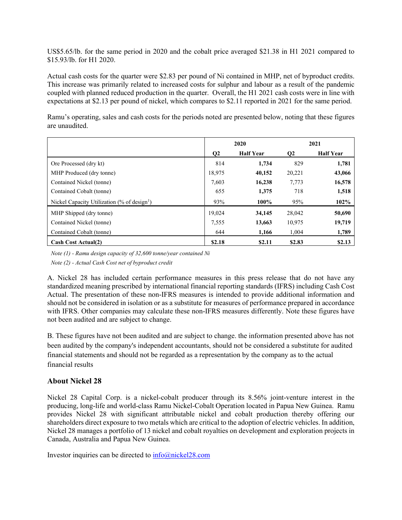US\$5.65/lb. for the same period in 2020 and the cobalt price averaged \$21.38 in H1 2021 compared to \$15.93/lb. for H1 2020.

Actual cash costs for the quarter were \$2.83 per pound of Ni contained in MHP, net of byproduct credits. This increase was primarily related to increased costs for sulphur and labour as a result of the pandemic coupled with planned reduced production in the quarter. Overall, the H1 2021 cash costs were in line with expectations at \$2.13 per pound of nickel, which compares to \$2.11 reported in 2021 for the same period.

Ramu's operating, sales and cash costs for the periods noted are presented below, noting that these figures are unaudited.

|                                                                    | 2020         |                  | 2021         |                  |
|--------------------------------------------------------------------|--------------|------------------|--------------|------------------|
|                                                                    | $\mathbf{Q}$ | <b>Half Year</b> | $\mathbf{Q}$ | <b>Half Year</b> |
| Ore Processed (dry kt)                                             | 814          | 1,734            | 829          | 1,781            |
| MHP Produced (dry tonne)                                           | 18,975       | 40,152           | 20,221       | 43,066           |
| Contained Nickel (tonne)                                           | 7,603        | 16,238           | 7,773        | 16,578           |
| Contained Cobalt (tonne)                                           | 655          | 1,375            | 718          | 1,518            |
| Nickel Capacity Utilization $\frac{6}{6}$ of design <sup>1</sup> ) | 93%          | $100\%$          | 95%          | 102%             |
| MHP Shipped (dry tonne)                                            | 19,024       | 34,145           | 28,042       | 50,690           |
| Contained Nickel (tonne)                                           | 7,555        | 13,663           | 10,975       | 19,719           |
| Contained Cobalt (tonne)                                           | 644          | 1,166            | 1,004        | 1,789            |
| <b>Cash Cost Actual(2)</b>                                         | \$2.18       | \$2.11           | \$2.83       | \$2.13           |

*Note (1) - Ramu design capacity of 32,600 tonne/year contained Ni*

*Note (2) - Actual Cash Cost net of byproduct credit*

A. Nickel 28 has included certain performance measures in this press release that do not have any standardized meaning prescribed by international financial reporting standards (IFRS) including Cash Cost Actual. The presentation of these non-IFRS measures is intended to provide additional information and should not be considered in isolation or as a substitute for measures of performance prepared in accordance with IFRS. Other companies may calculate these non-IFRS measures differently. Note these figures have not been audited and are subject to change.

B. These figures have not been audited and are subject to change. the information presented above has not been audited by the company's independent accountants, should not be considered a substitute for audited financial statements and should not be regarded as a representation by the company as to the actual financial results

## **About Nickel 28**

Nickel 28 Capital Corp. is a nickel-cobalt producer through its 8.56% joint-venture interest in the producing, long-life and world-class Ramu Nickel-Cobalt Operation located in Papua New Guinea. Ramu provides Nickel 28 with significant attributable nickel and cobalt production thereby offering our shareholders direct exposure to two metals which are critical to the adoption of electric vehicles. In addition, Nickel 28 manages a portfolio of 13 nickel and cobalt royalties on development and exploration projects in Canada, Australia and Papua New Guinea.

Investor inquiries can be directed to  $\frac{info(@nickel28.com)}{info(@nickel28.com)}$